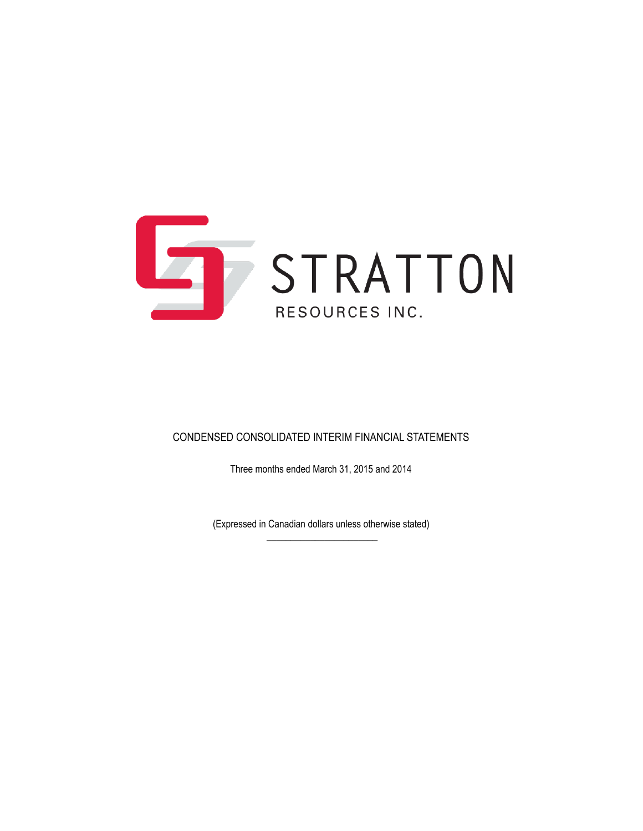

### CONDENSED CONSOLIDATED INTERIM FINANCIAL STATEMENTS

Three months ended March 31, 2015 and 2014

(Expressed in Canadian dollars unless otherwise stated)  $\overline{\phantom{a}}$  , where the contract of the contract of the contract of the contract of the contract of the contract of the contract of the contract of the contract of the contract of the contract of the contract of the contr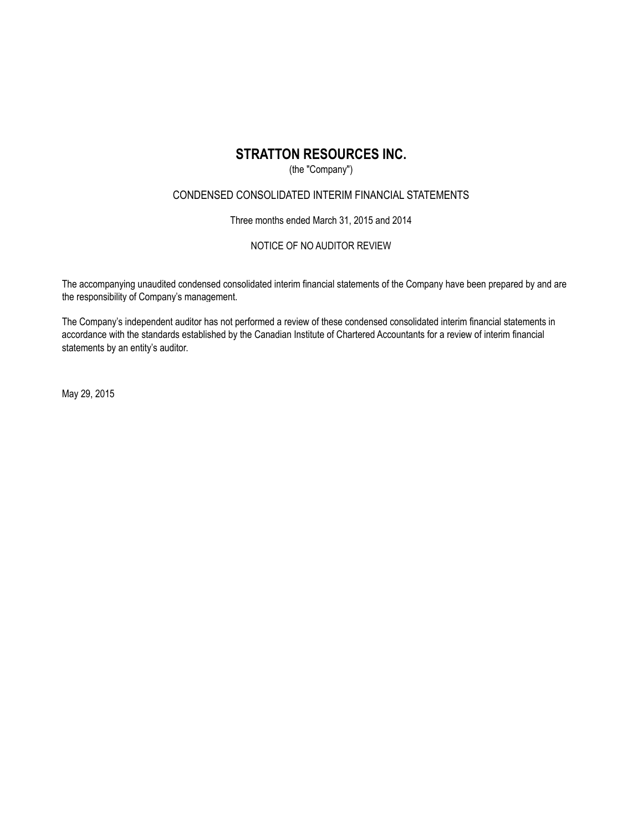### (the "Company")

### CONDENSED CONSOLIDATED INTERIM FINANCIAL STATEMENTS

Three months ended March 31, 2015 and 2014

### NOTICE OF NO AUDITOR REVIEW

The accompanying unaudited condensed consolidated interim financial statements of the Company have been prepared by and are the responsibility of Company's management.

The Company's independent auditor has not performed a review of these condensed consolidated interim financial statements in accordance with the standards established by the Canadian Institute of Chartered Accountants for a review of interim financial statements by an entity's auditor.

May 29, 2015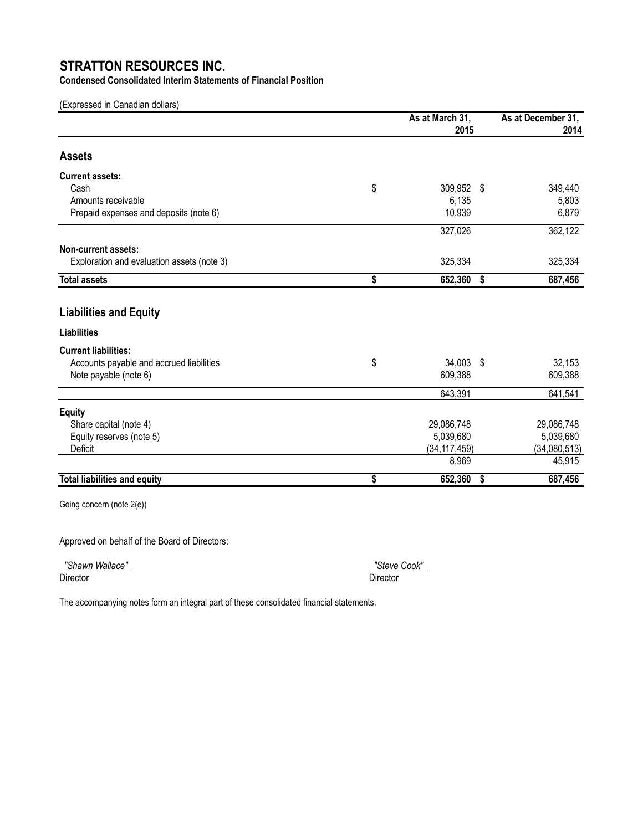**Condensed Consolidated Interim Statements of Financial Position**

(Expressed in Canadian dollars)

|                                                     | As at March 31,<br>2015 |    | As at December 31,<br>2014 |  |
|-----------------------------------------------------|-------------------------|----|----------------------------|--|
| <b>Assets</b>                                       |                         |    |                            |  |
| <b>Current assets:</b>                              |                         |    |                            |  |
| Cash                                                | \$<br>309,952 \$        |    | 349,440                    |  |
| Amounts receivable                                  | 6,135                   |    | 5,803                      |  |
| Prepaid expenses and deposits (note 6)              | 10,939                  |    | 6,879                      |  |
|                                                     | 327,026                 |    | 362,122                    |  |
| Non-current assets:                                 |                         |    |                            |  |
| Exploration and evaluation assets (note 3)          | 325,334                 |    | 325,334                    |  |
| <b>Total assets</b>                                 | \$<br>652,360           | \$ | 687,456                    |  |
| <b>Liabilities and Equity</b><br><b>Liabilities</b> |                         |    |                            |  |
|                                                     |                         |    |                            |  |
| <b>Current liabilities:</b>                         |                         |    |                            |  |
| Accounts payable and accrued liabilities            | \$<br>34,003 \$         |    | 32,153                     |  |
| Note payable (note 6)                               | 609,388                 |    | 609,388                    |  |
|                                                     | 643,391                 |    | 641,541                    |  |
| <b>Equity</b>                                       |                         |    |                            |  |
| Share capital (note 4)                              | 29,086,748              |    | 29,086,748                 |  |
| Equity reserves (note 5)                            | 5,039,680               |    | 5,039,680                  |  |
| Deficit                                             | (34, 117, 459)          |    | (34,080,513)               |  |
|                                                     | 8,969                   |    | 45,915                     |  |
| <b>Total liabilities and equity</b>                 | \$<br>652,360           | \$ | 687,456                    |  |

Going concern (note 2(e))

Approved on behalf of the Board of Directors:

 *"Shawn Wallace" "Steve Cook"*  Director Director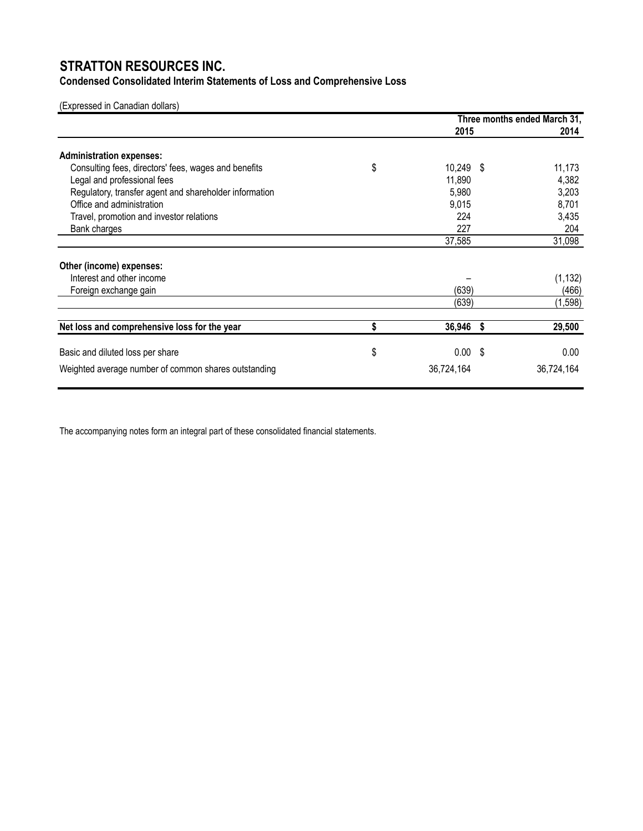# **Condensed Consolidated Interim Statements of Loss and Comprehensive Loss**

### (Expressed in Canadian dollars)

|                                                        | Three months ended March 31, |  |            |
|--------------------------------------------------------|------------------------------|--|------------|
|                                                        | 2015                         |  | 2014       |
| <b>Administration expenses:</b>                        |                              |  |            |
| Consulting fees, directors' fees, wages and benefits   | \$<br>$10,249$ \$            |  | 11,173     |
| Legal and professional fees                            | 11,890                       |  | 4,382      |
| Regulatory, transfer agent and shareholder information | 5,980                        |  | 3,203      |
| Office and administration                              | 9,015                        |  | 8,701      |
| Travel, promotion and investor relations               | 224                          |  | 3,435      |
| Bank charges                                           | 227                          |  | 204        |
|                                                        | 37,585                       |  | 31,098     |
| Other (income) expenses:                               |                              |  |            |
| Interest and other income                              |                              |  | (1, 132)   |
| Foreign exchange gain                                  | (639)                        |  | (466)      |
|                                                        | (639)                        |  | (1,598)    |
|                                                        |                              |  |            |
| Net loss and comprehensive loss for the year           | 36,946 \$                    |  | 29,500     |
| Basic and diluted loss per share                       | \$<br>$0.00$ \$              |  | 0.00       |
|                                                        |                              |  |            |
| Weighted average number of common shares outstanding   | 36,724,164                   |  | 36,724,164 |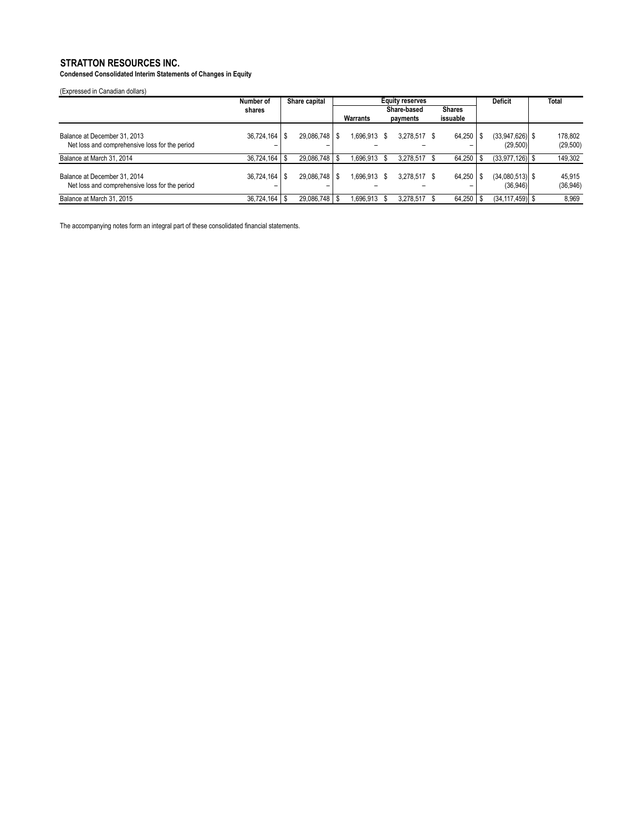**Condensed Consolidated Interim Statements of Changes in Equity**

(Expressed in Canadian dollars)

|                                                                                | Number of           | Share capital                    | <b>Equity reserves</b> |                    |               | <b>Deficit</b>                | <b>Total</b>         |
|--------------------------------------------------------------------------------|---------------------|----------------------------------|------------------------|--------------------|---------------|-------------------------------|----------------------|
|                                                                                | shares              |                                  |                        | <b>Share-based</b> | <b>Shares</b> |                               |                      |
|                                                                                |                     |                                  | Warrants               | payments           | issuable      |                               |                      |
| Balance at December 31, 2013<br>Net loss and comprehensive loss for the period | 36.724.164<br>-     | $29,086,748$ \ \ \$<br>- \$<br>- | 1.696.913 \$           | 3,278,517          | 64,250        | $(33.947.626)$ \$<br>(29,500) | 178.802<br>(29, 500) |
| Balance at March 31, 2014                                                      | 36.724.164          | 29.086.748   \$<br>- \$          | 1.696.913              | 3.278.517          | 64,250        | $(33.977.126)$ \$             | 149,302              |
| Balance at December 31, 2014<br>Net loss and comprehensive loss for the period | $36.724.164$ S<br>- | 29.086.748   \$                  | 1.696.913 \$           | 3.278.517 \$       | 64.250        | $(34,080,513)$ \$<br>(36,946) | 45.915<br>(36, 946)  |
| Balance at March 31, 2015                                                      | 36,724,164          | 29.086.748   \$<br>- \$          | 1.696.913              | 3.278.517          | 64,250        | $(34, 117, 459)$ \$           | 8,969                |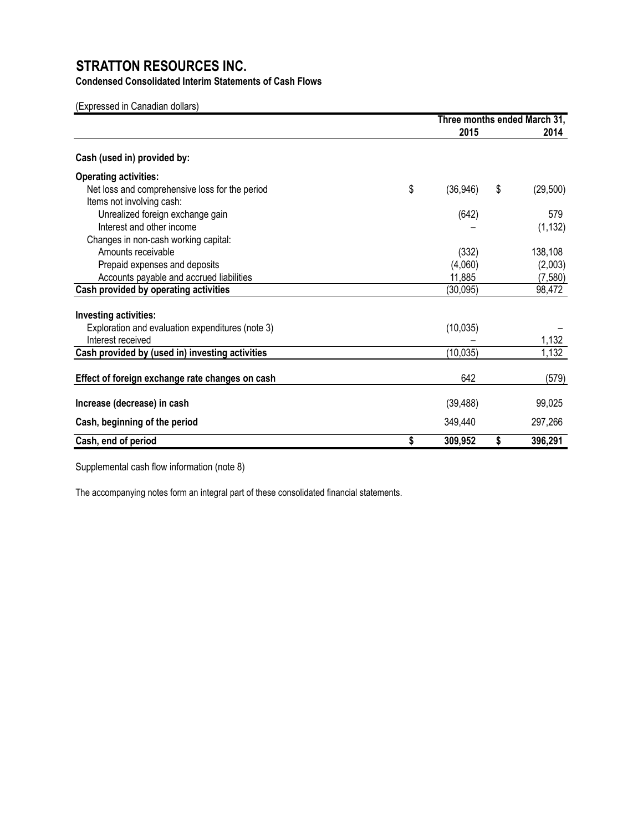**Condensed Consolidated Interim Statements of Cash Flows**

(Expressed in Canadian dollars)

|                                                  | Three months ended March 31, |    |           |
|--------------------------------------------------|------------------------------|----|-----------|
|                                                  | 2015                         |    | 2014      |
| Cash (used in) provided by:                      |                              |    |           |
| <b>Operating activities:</b>                     |                              |    |           |
| Net loss and comprehensive loss for the period   | \$<br>(36, 946)              | \$ | (29, 500) |
| Items not involving cash:                        |                              |    |           |
| Unrealized foreign exchange gain                 | (642)                        |    | 579       |
| Interest and other income                        |                              |    | (1, 132)  |
| Changes in non-cash working capital:             |                              |    |           |
| Amounts receivable                               | (332)                        |    | 138,108   |
| Prepaid expenses and deposits                    | (4,060)                      |    | (2,003)   |
| Accounts payable and accrued liabilities         | 11,885                       |    | (7,580)   |
| Cash provided by operating activities            | (30, 095)                    |    | 98,472    |
| Investing activities:                            |                              |    |           |
| Exploration and evaluation expenditures (note 3) | (10, 035)                    |    |           |
| Interest received                                |                              |    | 1,132     |
| Cash provided by (used in) investing activities  | (10, 035)                    |    | 1,132     |
|                                                  |                              |    |           |
| Effect of foreign exchange rate changes on cash  | 642                          |    | (579)     |
| Increase (decrease) in cash                      | (39, 488)                    |    | 99,025    |
| Cash, beginning of the period                    | 349,440                      |    | 297,266   |
| Cash, end of period                              | \$<br>309,952                | \$ | 396,291   |

Supplemental cash flow information (note 8)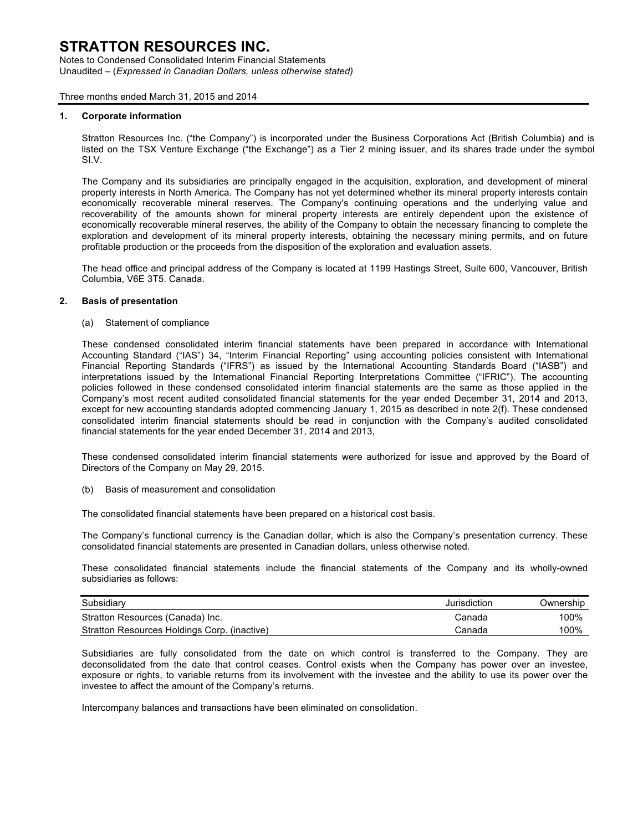Notes to Condensed Consolidated Interim Financial Statements Unaudited – (*Expressed in Canadian Dollars, unless otherwise stated)*

### Three months ended March 31, 2015 and 2014

### **1. Corporate information**

Stratton Resources Inc. ("the Company") is incorporated under the Business Corporations Act (British Columbia) and is listed on the TSX Venture Exchange ("the Exchange") as a Tier 2 mining issuer, and its shares trade under the symbol SI.V.

The Company and its subsidiaries are principally engaged in the acquisition, exploration, and development of mineral property interests in North America. The Company has not yet determined whether its mineral property interests contain economically recoverable mineral reserves. The Company's continuing operations and the underlying value and recoverability of the amounts shown for mineral property interests are entirely dependent upon the existence of economically recoverable mineral reserves, the ability of the Company to obtain the necessary financing to complete the exploration and development of its mineral property interests, obtaining the necessary mining permits, and on future profitable production or the proceeds from the disposition of the exploration and evaluation assets.

The head office and principal address of the Company is located at 1199 Hastings Street, Suite 600, Vancouver, British Columbia, V6E 3T5. Canada.

### **2. Basis of presentation**

(a) Statement of compliance

These condensed consolidated interim financial statements have been prepared in accordance with International Accounting Standard ("IAS") 34, "Interim Financial Reporting" using accounting policies consistent with International Financial Reporting Standards ("IFRS") as issued by the International Accounting Standards Board ("IASB") and interpretations issued by the International Financial Reporting Interpretations Committee ("IFRIC"). The accounting policies followed in these condensed consolidated interim financial statements are the same as those applied in the Company's most recent audited consolidated financial statements for the year ended December 31, 2014 and 2013, except for new accounting standards adopted commencing January 1, 2015 as described in note 2(f). These condensed consolidated interim financial statements should be read in conjunction with the Company's audited consolidated financial statements for the year ended December 31, 2014 and 2013,

These condensed consolidated interim financial statements were authorized for issue and approved by the Board of Directors of the Company on May 29, 2015.

(b) Basis of measurement and consolidation

The consolidated financial statements have been prepared on a historical cost basis.

The Company's functional currency is the Canadian dollar, which is also the Company's presentation currency. These consolidated financial statements are presented in Canadian dollars, unless otherwise noted.

These consolidated financial statements include the financial statements of the Company and its wholly-owned subsidiaries as follows:

| Subsidiary                                   | Jurisdiction | Ownership |
|----------------------------------------------|--------------|-----------|
| Stratton Resources (Canada) Inc.             | Canada       | 100%      |
| Stratton Resources Holdings Corp. (inactive) | Canada       | 100%      |

Subsidiaries are fully consolidated from the date on which control is transferred to the Company. They are deconsolidated from the date that control ceases. Control exists when the Company has power over an investee, exposure or rights, to variable returns from its involvement with the investee and the ability to use its power over the investee to affect the amount of the Company's returns.

Intercompany balances and transactions have been eliminated on consolidation.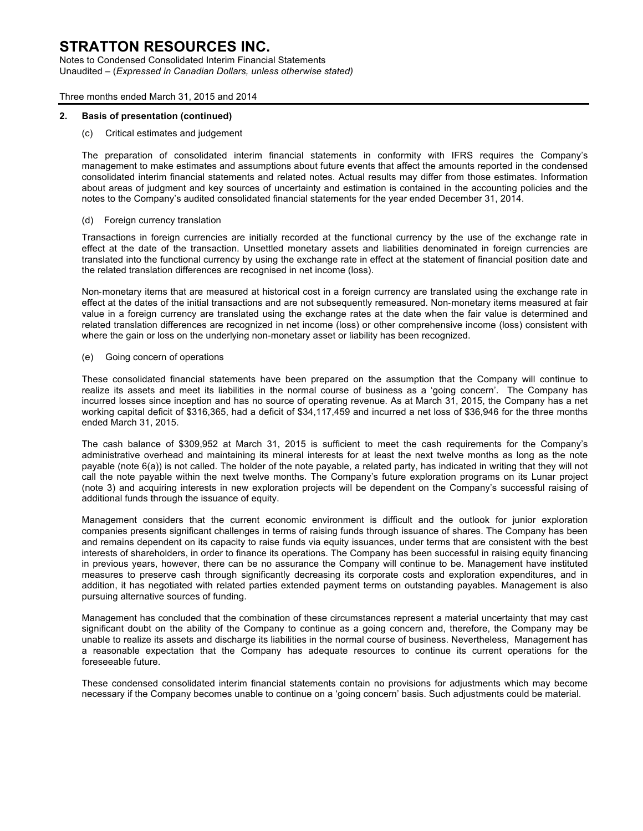Notes to Condensed Consolidated Interim Financial Statements Unaudited – (*Expressed in Canadian Dollars, unless otherwise stated)*

### Three months ended March 31, 2015 and 2014

### **2. Basis of presentation (continued)**

### (c) Critical estimates and judgement

The preparation of consolidated interim financial statements in conformity with IFRS requires the Company's management to make estimates and assumptions about future events that affect the amounts reported in the condensed consolidated interim financial statements and related notes. Actual results may differ from those estimates. Information about areas of judgment and key sources of uncertainty and estimation is contained in the accounting policies and the notes to the Company's audited consolidated financial statements for the year ended December 31, 2014.

### (d) Foreign currency translation

Transactions in foreign currencies are initially recorded at the functional currency by the use of the exchange rate in effect at the date of the transaction. Unsettled monetary assets and liabilities denominated in foreign currencies are translated into the functional currency by using the exchange rate in effect at the statement of financial position date and the related translation differences are recognised in net income (loss).

Non-monetary items that are measured at historical cost in a foreign currency are translated using the exchange rate in effect at the dates of the initial transactions and are not subsequently remeasured. Non-monetary items measured at fair value in a foreign currency are translated using the exchange rates at the date when the fair value is determined and related translation differences are recognized in net income (loss) or other comprehensive income (loss) consistent with where the gain or loss on the underlying non-monetary asset or liability has been recognized.

#### (e) Going concern of operations

These consolidated financial statements have been prepared on the assumption that the Company will continue to realize its assets and meet its liabilities in the normal course of business as a 'going concern'. The Company has incurred losses since inception and has no source of operating revenue. As at March 31, 2015, the Company has a net working capital deficit of \$316,365, had a deficit of \$34,117,459 and incurred a net loss of \$36,946 for the three months ended March 31, 2015.

The cash balance of \$309,952 at March 31, 2015 is sufficient to meet the cash requirements for the Company's administrative overhead and maintaining its mineral interests for at least the next twelve months as long as the note payable (note 6(a)) is not called. The holder of the note payable, a related party, has indicated in writing that they will not call the note payable within the next twelve months. The Company's future exploration programs on its Lunar project (note 3) and acquiring interests in new exploration projects will be dependent on the Company's successful raising of additional funds through the issuance of equity.

Management considers that the current economic environment is difficult and the outlook for junior exploration companies presents significant challenges in terms of raising funds through issuance of shares. The Company has been and remains dependent on its capacity to raise funds via equity issuances, under terms that are consistent with the best interests of shareholders, in order to finance its operations. The Company has been successful in raising equity financing in previous years, however, there can be no assurance the Company will continue to be. Management have instituted measures to preserve cash through significantly decreasing its corporate costs and exploration expenditures, and in addition, it has negotiated with related parties extended payment terms on outstanding payables. Management is also pursuing alternative sources of funding.

Management has concluded that the combination of these circumstances represent a material uncertainty that may cast significant doubt on the ability of the Company to continue as a going concern and, therefore, the Company may be unable to realize its assets and discharge its liabilities in the normal course of business. Nevertheless, Management has a reasonable expectation that the Company has adequate resources to continue its current operations for the foreseeable future.

These condensed consolidated interim financial statements contain no provisions for adjustments which may become necessary if the Company becomes unable to continue on a 'going concern' basis. Such adjustments could be material.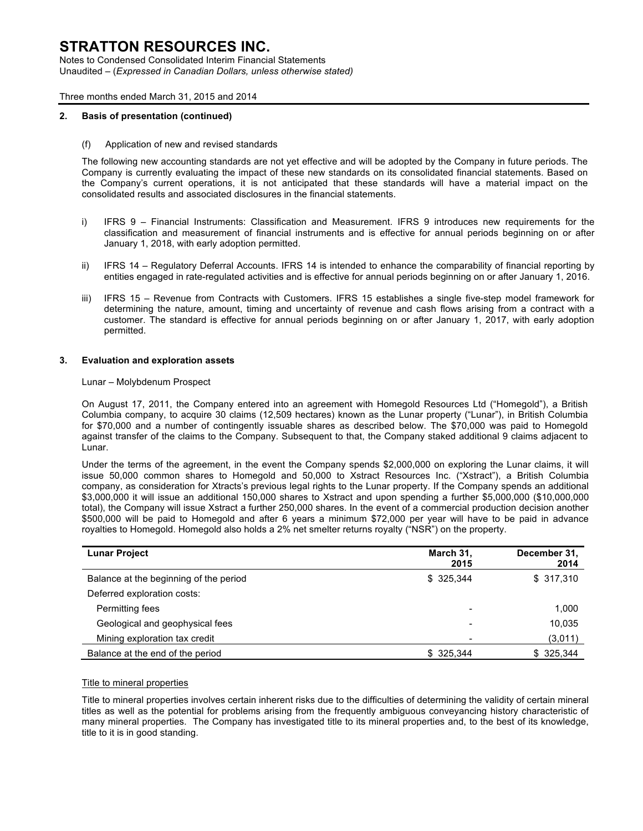Notes to Condensed Consolidated Interim Financial Statements Unaudited – (*Expressed in Canadian Dollars, unless otherwise stated)*

### Three months ended March 31, 2015 and 2014

### **2. Basis of presentation (continued)**

(f) Application of new and revised standards

The following new accounting standards are not yet effective and will be adopted by the Company in future periods. The Company is currently evaluating the impact of these new standards on its consolidated financial statements. Based on the Company's current operations, it is not anticipated that these standards will have a material impact on the consolidated results and associated disclosures in the financial statements.

- i) IFRS 9 Financial Instruments: Classification and Measurement. IFRS 9 introduces new requirements for the classification and measurement of financial instruments and is effective for annual periods beginning on or after January 1, 2018, with early adoption permitted.
- ii) IFRS 14 Regulatory Deferral Accounts. IFRS 14 is intended to enhance the comparability of financial reporting by entities engaged in rate-regulated activities and is effective for annual periods beginning on or after January 1, 2016.
- iii) IFRS 15 Revenue from Contracts with Customers. IFRS 15 establishes a single five-step model framework for determining the nature, amount, timing and uncertainty of revenue and cash flows arising from a contract with a customer. The standard is effective for annual periods beginning on or after January 1, 2017, with early adoption permitted.

### **3. Evaluation and exploration assets**

#### Lunar – Molybdenum Prospect

On August 17, 2011, the Company entered into an agreement with Homegold Resources Ltd ("Homegold"), a British Columbia company, to acquire 30 claims (12,509 hectares) known as the Lunar property ("Lunar"), in British Columbia for \$70,000 and a number of contingently issuable shares as described below. The \$70,000 was paid to Homegold against transfer of the claims to the Company. Subsequent to that, the Company staked additional 9 claims adjacent to Lunar.

Under the terms of the agreement, in the event the Company spends \$2,000,000 on exploring the Lunar claims, it will issue 50,000 common shares to Homegold and 50,000 to Xstract Resources Inc. ("Xstract"), a British Columbia company, as consideration for Xtracts's previous legal rights to the Lunar property. If the Company spends an additional \$3,000,000 it will issue an additional 150,000 shares to Xstract and upon spending a further \$5,000,000 (\$10,000,000 total), the Company will issue Xstract a further 250,000 shares. In the event of a commercial production decision another \$500,000 will be paid to Homegold and after 6 years a minimum \$72,000 per year will have to be paid in advance royalties to Homegold. Homegold also holds a 2% net smelter returns royalty ("NSR") on the property.

| <b>Lunar Project</b>                   | March 31,<br>2015 | December 31,<br>2014 |
|----------------------------------------|-------------------|----------------------|
| Balance at the beginning of the period | \$ 325,344        | \$317,310            |
| Deferred exploration costs:            |                   |                      |
| Permitting fees                        |                   | 1,000                |
| Geological and geophysical fees        | -                 | 10,035               |
| Mining exploration tax credit          |                   | (3,011)              |
| Balance at the end of the period       | \$ 325,344        | \$ 325,344           |

#### Title to mineral properties

Title to mineral properties involves certain inherent risks due to the difficulties of determining the validity of certain mineral titles as well as the potential for problems arising from the frequently ambiguous conveyancing history characteristic of many mineral properties. The Company has investigated title to its mineral properties and, to the best of its knowledge, title to it is in good standing.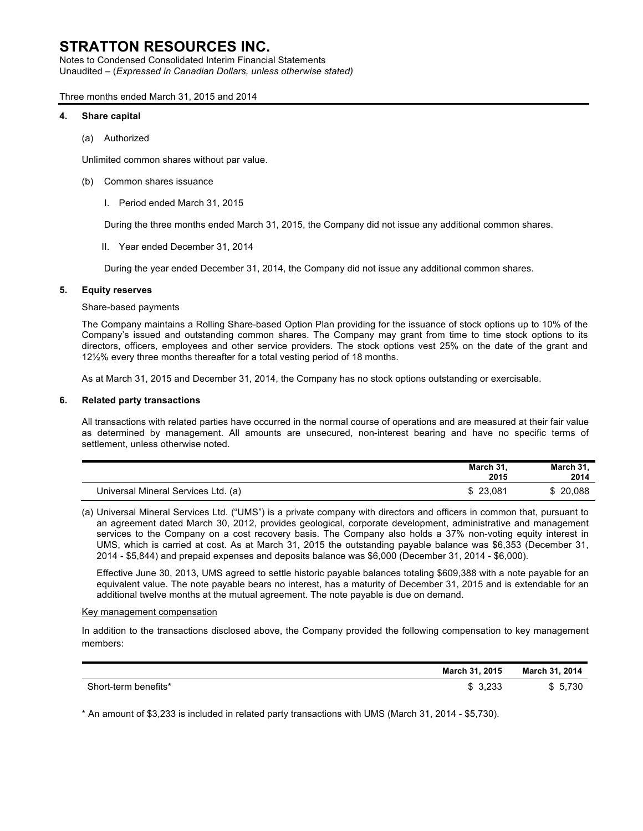Notes to Condensed Consolidated Interim Financial Statements Unaudited – (*Expressed in Canadian Dollars, unless otherwise stated)*

Three months ended March 31, 2015 and 2014

### **4. Share capital**

(a) Authorized

Unlimited common shares without par value.

- (b) Common shares issuance
	- I. Period ended March 31, 2015

During the three months ended March 31, 2015, the Company did not issue any additional common shares.

II. Year ended December 31, 2014

During the year ended December 31, 2014, the Company did not issue any additional common shares.

### **5. Equity reserves**

### Share-based payments

The Company maintains a Rolling Share-based Option Plan providing for the issuance of stock options up to 10% of the Company's issued and outstanding common shares. The Company may grant from time to time stock options to its directors, officers, employees and other service providers. The stock options vest 25% on the date of the grant and 12½% every three months thereafter for a total vesting period of 18 months.

As at March 31, 2015 and December 31, 2014, the Company has no stock options outstanding or exercisable.

### **6. Related party transactions**

All transactions with related parties have occurred in the normal course of operations and are measured at their fair value as determined by management. All amounts are unsecured, non-interest bearing and have no specific terms of settlement, unless otherwise noted.

|                                     | March 31.<br>2015 | March 31.<br>2014 |
|-------------------------------------|-------------------|-------------------|
| Universal Mineral Services Ltd. (a) | \$23.081          | \$20,088          |

(a) Universal Mineral Services Ltd. ("UMS") is a private company with directors and officers in common that, pursuant to an agreement dated March 30, 2012, provides geological, corporate development, administrative and management services to the Company on a cost recovery basis. The Company also holds a 37% non-voting equity interest in UMS, which is carried at cost. As at March 31, 2015 the outstanding payable balance was \$6,353 (December 31, 2014 - \$5,844) and prepaid expenses and deposits balance was \$6,000 (December 31, 2014 - \$6,000).

Effective June 30, 2013, UMS agreed to settle historic payable balances totaling \$609,388 with a note payable for an equivalent value. The note payable bears no interest, has a maturity of December 31, 2015 and is extendable for an additional twelve months at the mutual agreement. The note payable is due on demand.

### Key management compensation

In addition to the transactions disclosed above, the Company provided the following compensation to key management members:

|                      | March 31, 2015 | March 31, 2014 |
|----------------------|----------------|----------------|
| Short-term benefits* | 3.233          | 5.730          |

\* An amount of \$3,233 is included in related party transactions with UMS (March 31, 2014 - \$5,730).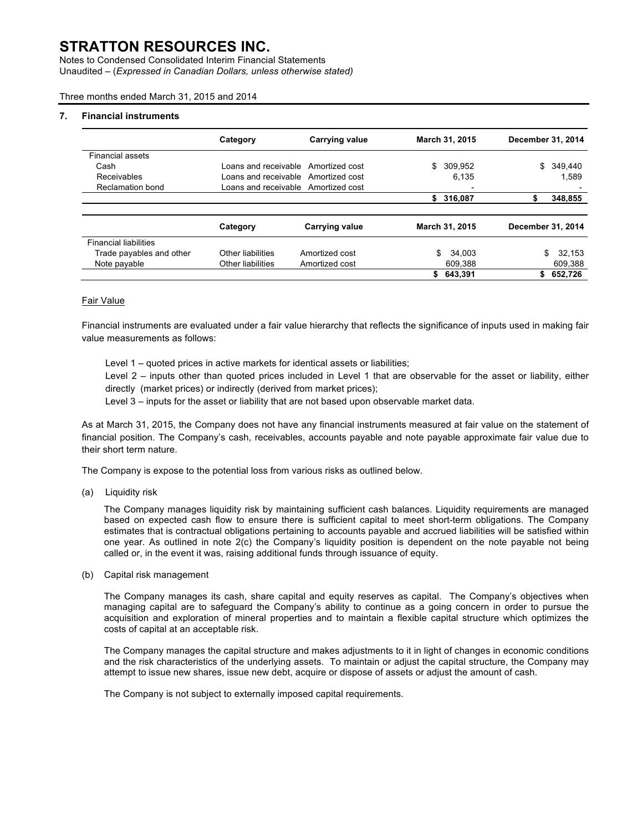Notes to Condensed Consolidated Interim Financial Statements Unaudited – (*Expressed in Canadian Dollars, unless otherwise stated)*

Three months ended March 31, 2015 and 2014

#### **7. Financial instruments**

|                              | Category             | <b>Carrying value</b>               |    | <b>March 31, 2015</b> | December 31, 2014 |              |
|------------------------------|----------------------|-------------------------------------|----|-----------------------|-------------------|--------------|
| <b>Financial assets</b>      |                      |                                     |    |                       |                   |              |
| Cash                         | Loans and receivable | Amortized cost                      | \$ | 309,952               | \$                | 349.440      |
| Receivables                  |                      | Loans and receivable Amortized cost |    | 6.135                 |                   | 1.589        |
| Reclamation bond             |                      | Loans and receivable Amortized cost |    |                       |                   |              |
|                              |                      |                                     |    | \$316,087             | S                 | 348,855      |
|                              | Category             | <b>Carrying value</b>               |    | March 31, 2015        | December 31, 2014 |              |
| <b>Financial liabilities</b> |                      |                                     |    |                       |                   |              |
| Trade payables and other     | Other liabilities    | Amortized cost                      | S. | 34.003                |                   | 32.153<br>\$ |
| Note payable                 | Other liabilities    | Amortized cost                      |    | 609,388               |                   | 609,388      |
|                              |                      |                                     | \$ | 643,391               | \$                | 652,726      |

### Fair Value

Financial instruments are evaluated under a fair value hierarchy that reflects the significance of inputs used in making fair value measurements as follows:

Level 1 – quoted prices in active markets for identical assets or liabilities;

Level 2 – inputs other than quoted prices included in Level 1 that are observable for the asset or liability, either directly (market prices) or indirectly (derived from market prices);

Level 3 – inputs for the asset or liability that are not based upon observable market data.

As at March 31, 2015, the Company does not have any financial instruments measured at fair value on the statement of financial position. The Company's cash, receivables, accounts payable and note payable approximate fair value due to their short term nature.

The Company is expose to the potential loss from various risks as outlined below.

(a) Liquidity risk

The Company manages liquidity risk by maintaining sufficient cash balances. Liquidity requirements are managed based on expected cash flow to ensure there is sufficient capital to meet short-term obligations. The Company estimates that is contractual obligations pertaining to accounts payable and accrued liabilities will be satisfied within one year. As outlined in note 2(c) the Company's liquidity position is dependent on the note payable not being called or, in the event it was, raising additional funds through issuance of equity.

(b) Capital risk management

The Company manages its cash, share capital and equity reserves as capital. The Company's objectives when managing capital are to safeguard the Company's ability to continue as a going concern in order to pursue the acquisition and exploration of mineral properties and to maintain a flexible capital structure which optimizes the costs of capital at an acceptable risk.

The Company manages the capital structure and makes adjustments to it in light of changes in economic conditions and the risk characteristics of the underlying assets. To maintain or adjust the capital structure, the Company may attempt to issue new shares, issue new debt, acquire or dispose of assets or adjust the amount of cash.

The Company is not subject to externally imposed capital requirements.